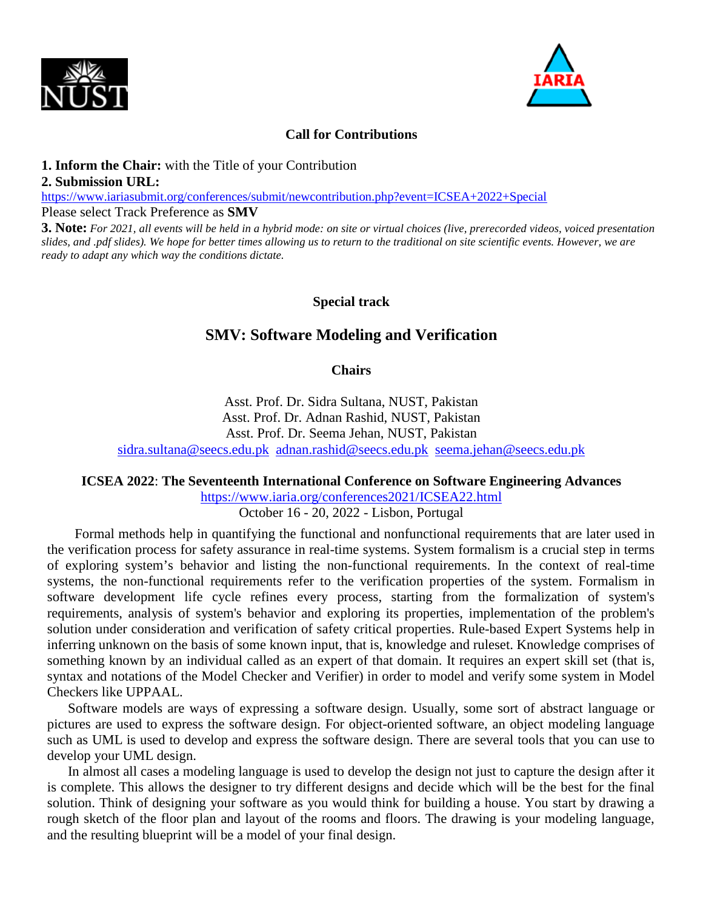



#### **Call for Contributions**

#### **1. Inform the Chair:** with the Title of your Contribution

#### **2. Submission URL:**

<https://www.iariasubmit.org/conferences/submit/newcontribution.php?event=ICSEA+2022+Special> Please select Track Preference as **SMV**

**3. Note:** *For 2021, all events will be held in a hybrid mode: on site or virtual choices (live, prerecorded videos, voiced presentation slides, and .pdf slides). We hope for better times allowing us to return to the traditional on site scientific events. However, we are ready to adapt any which way the conditions dictate.*

### **Special track**

# **SMV: Software Modeling and Verification**

#### **Chairs**

Asst. Prof. Dr. Sidra Sultana, NUST, Pakistan Asst. Prof. Dr. Adnan Rashid, NUST, Pakistan Asst. Prof. Dr. Seema Jehan, NUST, Pakistan [sidra.sultana@seecs.edu.pk](mailto:sidra.sultana@seecs.edu.pk) [adnan.rashid@seecs.edu.pk](mailto:adnan.rashid@seecs.edu.pk) [seema.jehan@seecs.edu.pk](mailto:seema.jehan@seecs.edu.pk)

#### **ICSEA 2022**: **The Seventeenth International Conference on Software Engineering Advances**

<https://www.iaria.org/conferences2021/ICSEA22.html>

October 16 - 20, 2022 - Lisbon, Portugal

Formal methods help in quantifying the functional and nonfunctional requirements that are later used in the verification process for safety assurance in real-time systems. System formalism is a crucial step in terms of exploring system's behavior and listing the non-functional requirements. In the context of real-time systems, the non-functional requirements refer to the verification properties of the system. Formalism in software development life cycle refines every process, starting from the formalization of system's requirements, analysis of system's behavior and exploring its properties, implementation of the problem's solution under consideration and verification of safety critical properties. Rule-based Expert Systems help in inferring unknown on the basis of some known input, that is, knowledge and ruleset. Knowledge comprises of something known by an individual called as an expert of that domain. It requires an expert skill set (that is, syntax and notations of the Model Checker and Verifier) in order to model and verify some system in Model Checkers like UPPAAL.

Software models are ways of expressing a software design. Usually, some sort of abstract language or pictures are used to express the software design. For object-oriented software, an object modeling language such as UML is used to develop and express the software design. There are several tools that you can use to develop your UML design.

In almost all cases a modeling language is used to develop the design not just to capture the design after it is complete. This allows the designer to try different designs and decide which will be the best for the final solution. Think of designing your software as you would think for building a house. You start by drawing a rough sketch of the floor plan and layout of the rooms and floors. The drawing is your modeling language, and the resulting blueprint will be a model of your final design.